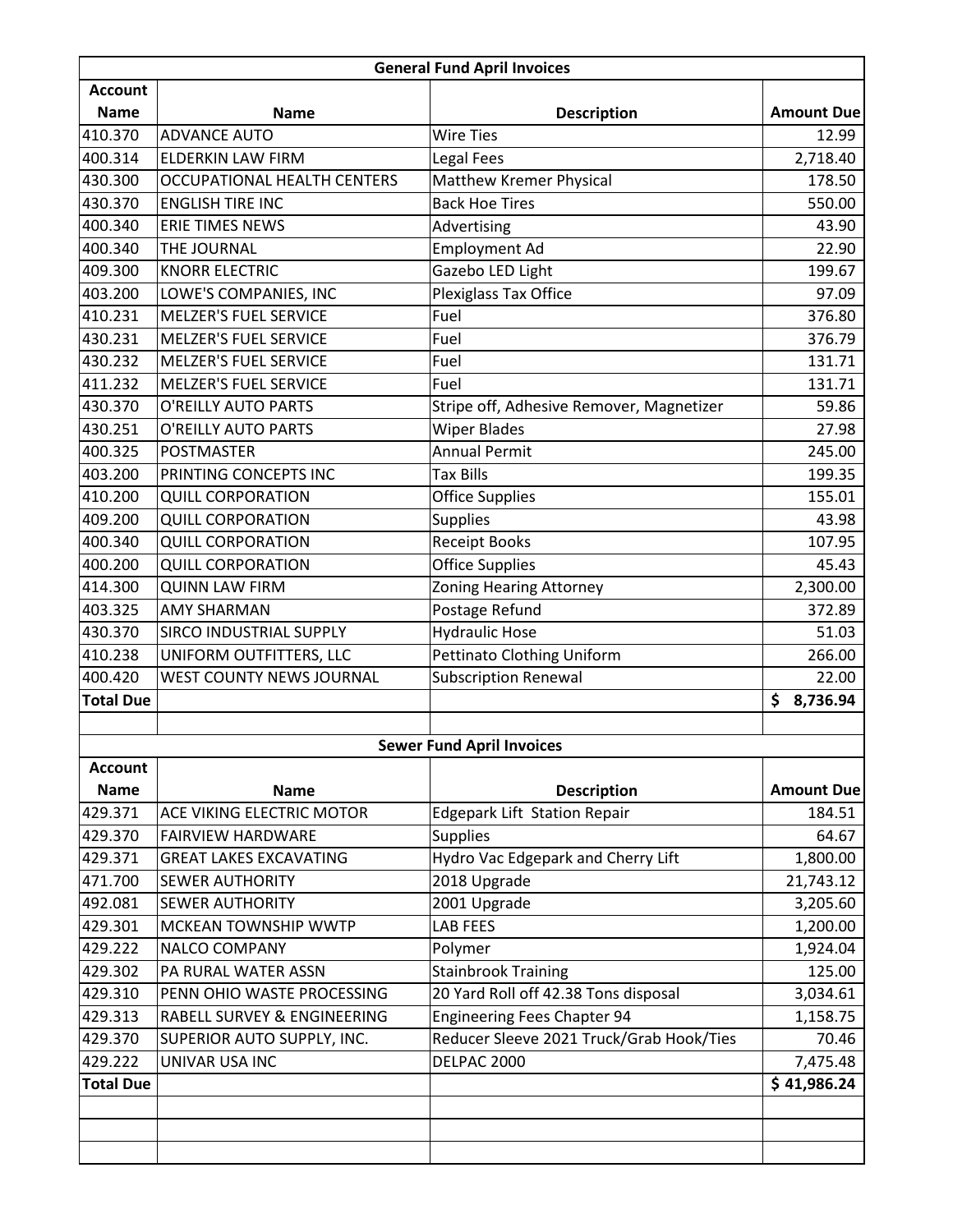| <b>General Fund April Invoices</b> |                                    |                                          |                   |  |
|------------------------------------|------------------------------------|------------------------------------------|-------------------|--|
| <b>Account</b>                     |                                    |                                          |                   |  |
| <b>Name</b>                        | <b>Name</b>                        | <b>Description</b>                       | <b>Amount Due</b> |  |
| 410.370                            | <b>ADVANCE AUTO</b>                | <b>Wire Ties</b>                         | 12.99             |  |
| 400.314                            | <b>ELDERKIN LAW FIRM</b>           | Legal Fees                               | 2,718.40          |  |
| 430.300                            | <b>OCCUPATIONAL HEALTH CENTERS</b> | Matthew Kremer Physical                  | 178.50            |  |
| 430.370                            | <b>ENGLISH TIRE INC</b>            | <b>Back Hoe Tires</b>                    | 550.00            |  |
| 400.340                            | ERIE TIMES NEWS                    | Advertising                              | 43.90             |  |
| 400.340                            | THE JOURNAL                        | <b>Employment Ad</b>                     | 22.90             |  |
| 409.300                            | <b>KNORR ELECTRIC</b>              | Gazebo LED Light                         | 199.67            |  |
| 403.200                            | LOWE'S COMPANIES, INC              | <b>Plexiglass Tax Office</b>             | 97.09             |  |
| 410.231                            | <b>MELZER'S FUEL SERVICE</b>       | Fuel                                     | 376.80            |  |
| 430.231                            | <b>MELZER'S FUEL SERVICE</b>       | Fuel                                     | 376.79            |  |
| 430.232                            | <b>MELZER'S FUEL SERVICE</b>       | Fuel                                     | 131.71            |  |
| 411.232                            | <b>MELZER'S FUEL SERVICE</b>       | Fuel                                     | 131.71            |  |
| 430.370                            | O'REILLY AUTO PARTS                | Stripe off, Adhesive Remover, Magnetizer | 59.86             |  |
| 430.251                            | O'REILLY AUTO PARTS                | <b>Wiper Blades</b>                      | 27.98             |  |
| 400.325                            | <b>POSTMASTER</b>                  | <b>Annual Permit</b>                     | 245.00            |  |
| 403.200                            | PRINTING CONCEPTS INC              | Tax Bills                                | 199.35            |  |
| 410.200                            | <b>QUILL CORPORATION</b>           | <b>Office Supplies</b>                   | 155.01            |  |
| 409.200                            | <b>QUILL CORPORATION</b>           | Supplies                                 | 43.98             |  |
| 400.340                            | <b>QUILL CORPORATION</b>           | <b>Receipt Books</b>                     | 107.95            |  |
| 400.200                            | <b>QUILL CORPORATION</b>           | <b>Office Supplies</b>                   | 45.43             |  |
| 414.300                            | <b>QUINN LAW FIRM</b>              | Zoning Hearing Attorney                  | 2,300.00          |  |
| 403.325                            | <b>AMY SHARMAN</b>                 | Postage Refund                           | 372.89            |  |
| 430.370                            | SIRCO INDUSTRIAL SUPPLY            | <b>Hydraulic Hose</b>                    | 51.03             |  |
| 410.238                            | UNIFORM OUTFITTERS, LLC            | Pettinato Clothing Uniform               | 266.00            |  |
| 400.420                            | WEST COUNTY NEWS JOURNAL           | <b>Subscription Renewal</b>              | 22.00             |  |
| <b>Total Due</b>                   |                                    |                                          | 8,736.94<br>\$    |  |
|                                    |                                    |                                          |                   |  |
|                                    | <b>Sewer Fund April Invoices</b>   |                                          |                   |  |
| <b>Account</b>                     |                                    |                                          |                   |  |
| <b>Name</b>                        | <b>Name</b>                        | <b>Description</b>                       | <b>Amount Due</b> |  |
| 429.371                            | ACE VIKING ELECTRIC MOTOR          | Edgepark Lift Station Repair             | 184.51            |  |
| 429.370                            | <b>FAIRVIEW HARDWARE</b>           | <b>Supplies</b>                          | 64.67             |  |
| 429.371                            | <b>GREAT LAKES EXCAVATING</b>      | Hydro Vac Edgepark and Cherry Lift       | 1,800.00          |  |
| 471.700                            | <b>SEWER AUTHORITY</b>             | 2018 Upgrade                             | 21,743.12         |  |
| 492.081                            | <b>SEWER AUTHORITY</b>             | 2001 Upgrade                             | 3,205.60          |  |
| 429.301                            | MCKEAN TOWNSHIP WWTP               | <b>LAB FEES</b>                          | 1,200.00          |  |
| 429.222                            | NALCO COMPANY                      | Polymer                                  | 1,924.04          |  |
| 429.302                            | PA RURAL WATER ASSN                | <b>Stainbrook Training</b>               | 125.00            |  |
| 429.310                            | PENN OHIO WASTE PROCESSING         | 20 Yard Roll off 42.38 Tons disposal     | 3,034.61          |  |
| 429.313                            | RABELL SURVEY & ENGINEERING        | <b>Engineering Fees Chapter 94</b>       | 1,158.75          |  |
| 429.370                            | SUPERIOR AUTO SUPPLY, INC.         | Reducer Sleeve 2021 Truck/Grab Hook/Ties | 70.46             |  |
| 429.222                            | UNIVAR USA INC                     | DELPAC 2000                              | 7,475.48          |  |
| <b>Total Due</b>                   |                                    |                                          | \$41,986.24       |  |
|                                    |                                    |                                          |                   |  |
|                                    |                                    |                                          |                   |  |
|                                    |                                    |                                          |                   |  |